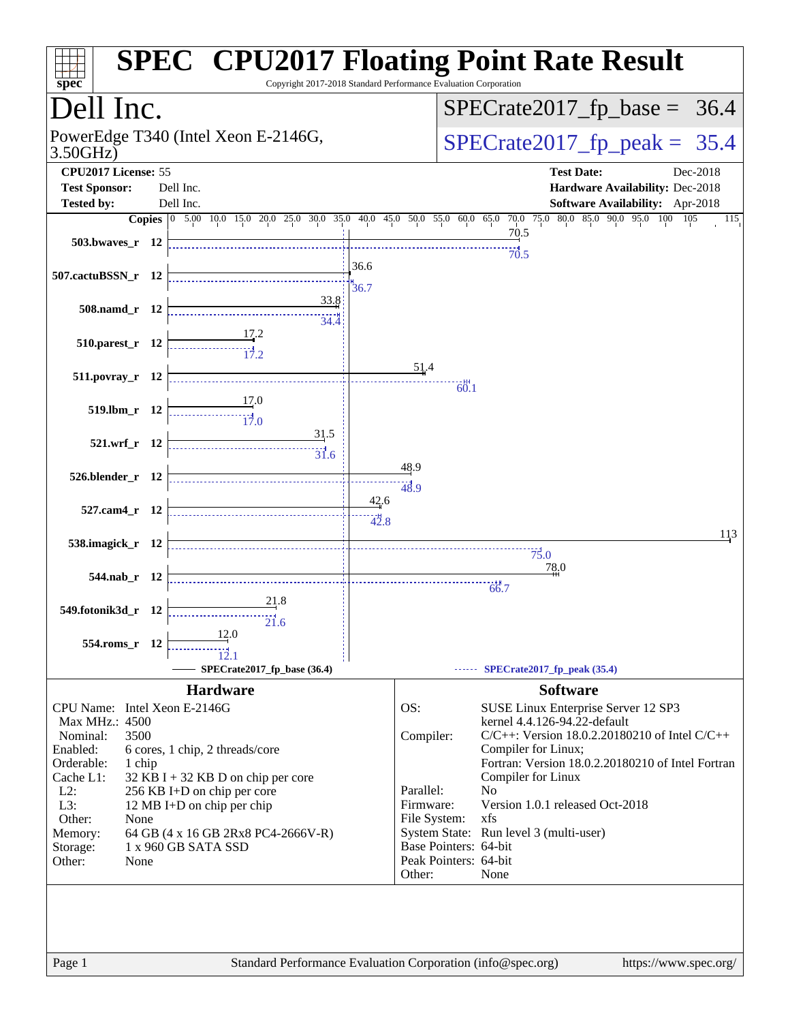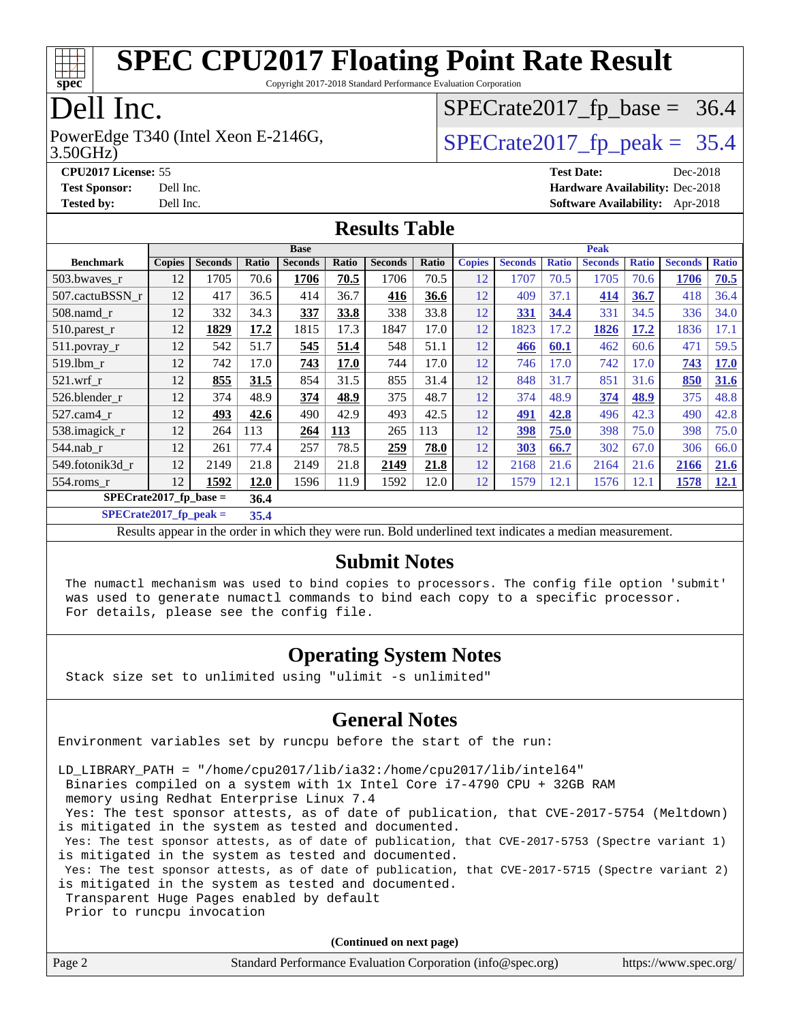

Copyright 2017-2018 Standard Performance Evaluation Corporation

### Dell Inc.

3.50GHz) PowerEdge T340 (Intel Xeon E-2146G,  $\vert$  [SPECrate2017\\_fp\\_peak =](http://www.spec.org/auto/cpu2017/Docs/result-fields.html#SPECrate2017fppeak) 35.4

 $SPECTate2017_fp\_base = 36.4$ 

**[CPU2017 License:](http://www.spec.org/auto/cpu2017/Docs/result-fields.html#CPU2017License)** 55 **[Test Date:](http://www.spec.org/auto/cpu2017/Docs/result-fields.html#TestDate)** Dec-2018 **[Test Sponsor:](http://www.spec.org/auto/cpu2017/Docs/result-fields.html#TestSponsor)** Dell Inc. **[Hardware Availability:](http://www.spec.org/auto/cpu2017/Docs/result-fields.html#HardwareAvailability)** Dec-2018 **[Tested by:](http://www.spec.org/auto/cpu2017/Docs/result-fields.html#Testedby)** Dell Inc. **[Software Availability:](http://www.spec.org/auto/cpu2017/Docs/result-fields.html#SoftwareAvailability)** Apr-2018

#### **[Results Table](http://www.spec.org/auto/cpu2017/Docs/result-fields.html#ResultsTable)**

|                                  | <b>Base</b>   |                |       |                |       | <b>Peak</b>    |       |               |                |              |                |              |                |              |
|----------------------------------|---------------|----------------|-------|----------------|-------|----------------|-------|---------------|----------------|--------------|----------------|--------------|----------------|--------------|
| <b>Benchmark</b>                 | <b>Copies</b> | <b>Seconds</b> | Ratio | <b>Seconds</b> | Ratio | <b>Seconds</b> | Ratio | <b>Copies</b> | <b>Seconds</b> | <b>Ratio</b> | <b>Seconds</b> | <b>Ratio</b> | <b>Seconds</b> | <b>Ratio</b> |
| 503.bwaves_r                     | 12            | 1705           | 70.6  | 1706           | 70.5  | 1706           | 70.5  | 12            | 1707           | 70.5         | 1705           | 70.6         | 1706           | 70.5         |
| 507.cactuBSSN r                  | 12            | 417            | 36.5  | 414            | 36.7  | 416            | 36.6  | 12            | 409            | 37.1         | 414            | 36.7         | 418            | 36.4         |
| $508$ .namd $r$                  | 12            | 332            | 34.3  | 337            | 33.8  | 338            | 33.8  | 12            | 331            | 34.4         | 331            | 34.5         | 336            | 34.0         |
| 510.parest_r                     | 12            | 1829           | 17.2  | 1815           | 17.3  | 1847           | 17.0  | 12            | 1823           | 17.2         | 1826           | 17.2         | 1836           | 17.1         |
| 511.povray_r                     | 12            | 542            | 51.7  | 545            | 51.4  | 548            | 51.1  | 12            | 466            | 60.1         | 462            | 60.6         | 471            | 59.5         |
| 519.lbm r                        | 12            | 742            | 17.0  | 743            | 17.0  | 744            | 17.0  | 12            | 746            | 17.0         | 742            | 17.0         | 743            | <b>17.0</b>  |
| $521$ .wrf r                     | 12            | 855            | 31.5  | 854            | 31.5  | 855            | 31.4  | 12            | 848            | 31.7         | 851            | 31.6         | 850            | 31.6         |
| 526.blender r                    | 12            | 374            | 48.9  | 374            | 48.9  | 375            | 48.7  | 12            | 374            | 48.9         | 374            | 48.9         | 375            | 48.8         |
| $527.cam4_r$                     | 12            | 493            | 42.6  | 490            | 42.9  | 493            | 42.5  | 12            | 491            | 42.8         | 496            | 42.3         | 490            | 42.8         |
| 538.imagick_r                    | 12            | 264            | 113   | 264            | 113   | 265            | 113   | 12            | 398            | 75.0         | 398            | 75.0         | 398            | 75.0         |
| 544.nab r                        | 12            | 261            | 77.4  | 257            | 78.5  | 259            | 78.0  | 12            | 303            | 66.7         | 302            | 67.0         | 306            | 66.0         |
| 549.fotonik3d_r                  | 12            | 2149           | 21.8  | 2149           | 21.8  | 2149           | 21.8  | 12            | 2168           | 21.6         | 2164           | 21.6         | 2166           | 21.6         |
| $554$ .roms_r                    | 12            | 1592           | 12.0  | 1596           | 11.9  | 1592           | 12.0  | 12            | 1579           | 12.1         | 1576           | 12.1         | 1578           | 12.1         |
| SPECrate2017 fp base $=$<br>36.4 |               |                |       |                |       |                |       |               |                |              |                |              |                |              |

**[SPECrate2017\\_fp\\_peak =](http://www.spec.org/auto/cpu2017/Docs/result-fields.html#SPECrate2017fppeak) 35.4**

Results appear in the [order in which they were run.](http://www.spec.org/auto/cpu2017/Docs/result-fields.html#RunOrder) Bold underlined text [indicates a median measurement.](http://www.spec.org/auto/cpu2017/Docs/result-fields.html#Median)

#### **[Submit Notes](http://www.spec.org/auto/cpu2017/Docs/result-fields.html#SubmitNotes)**

 The numactl mechanism was used to bind copies to processors. The config file option 'submit' was used to generate numactl commands to bind each copy to a specific processor. For details, please see the config file.

#### **[Operating System Notes](http://www.spec.org/auto/cpu2017/Docs/result-fields.html#OperatingSystemNotes)**

Stack size set to unlimited using "ulimit -s unlimited"

#### **[General Notes](http://www.spec.org/auto/cpu2017/Docs/result-fields.html#GeneralNotes)**

Environment variables set by runcpu before the start of the run:

LD\_LIBRARY\_PATH = "/home/cpu2017/lib/ia32:/home/cpu2017/lib/intel64"

Binaries compiled on a system with 1x Intel Core i7-4790 CPU + 32GB RAM

memory using Redhat Enterprise Linux 7.4

 Yes: The test sponsor attests, as of date of publication, that CVE-2017-5754 (Meltdown) is mitigated in the system as tested and documented.

 Yes: The test sponsor attests, as of date of publication, that CVE-2017-5753 (Spectre variant 1) is mitigated in the system as tested and documented.

 Yes: The test sponsor attests, as of date of publication, that CVE-2017-5715 (Spectre variant 2) is mitigated in the system as tested and documented.

Transparent Huge Pages enabled by default

Prior to runcpu invocation

**(Continued on next page)**

| Page 2 | Standard Performance Evaluation Corporation (info@spec.org) | https://www.spec.org/ |
|--------|-------------------------------------------------------------|-----------------------|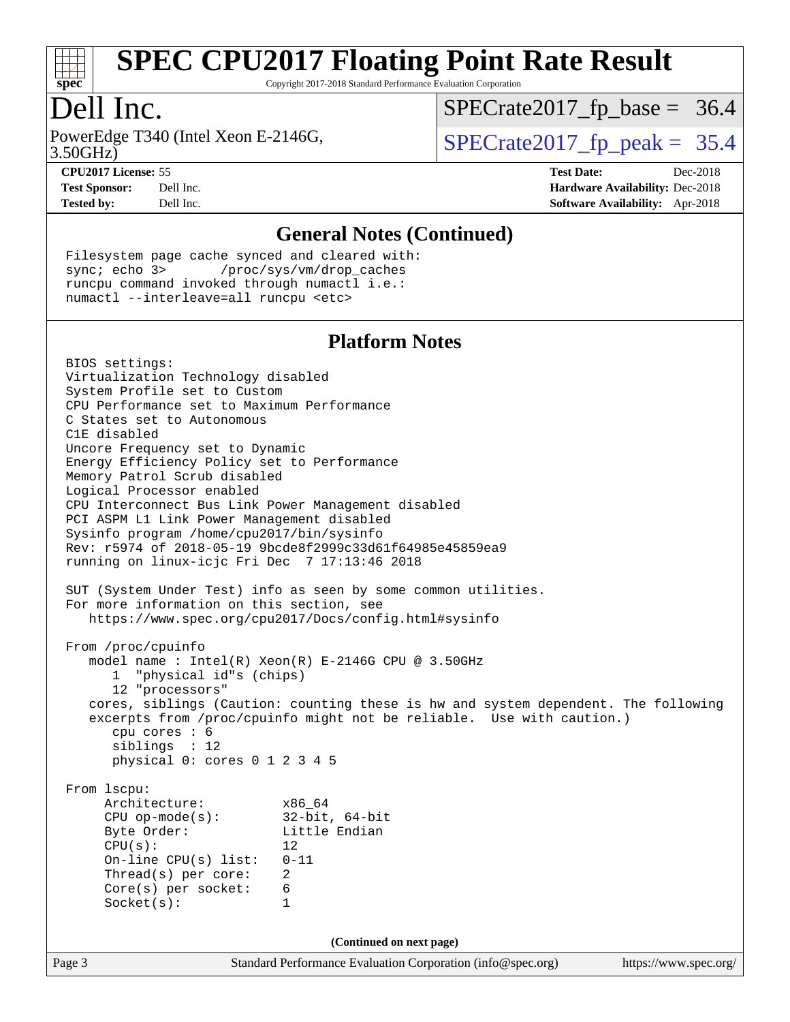

Copyright 2017-2018 Standard Performance Evaluation Corporation

### Dell Inc.

3.50GHz) PowerEdge T340 (Intel Xeon E-2146G,  $\vert$  [SPECrate2017\\_fp\\_peak =](http://www.spec.org/auto/cpu2017/Docs/result-fields.html#SPECrate2017fppeak) 35.4

 $SPECTate2017_fp\_base = 36.4$ 

**[CPU2017 License:](http://www.spec.org/auto/cpu2017/Docs/result-fields.html#CPU2017License)** 55 **[Test Date:](http://www.spec.org/auto/cpu2017/Docs/result-fields.html#TestDate)** Dec-2018

**[Test Sponsor:](http://www.spec.org/auto/cpu2017/Docs/result-fields.html#TestSponsor)** Dell Inc. **[Hardware Availability:](http://www.spec.org/auto/cpu2017/Docs/result-fields.html#HardwareAvailability)** Dec-2018 **[Tested by:](http://www.spec.org/auto/cpu2017/Docs/result-fields.html#Testedby)** Dell Inc. **[Software Availability:](http://www.spec.org/auto/cpu2017/Docs/result-fields.html#SoftwareAvailability)** Apr-2018

#### **[General Notes \(Continued\)](http://www.spec.org/auto/cpu2017/Docs/result-fields.html#GeneralNotes)**

 Filesystem page cache synced and cleared with: sync; echo 3> /proc/sys/vm/drop\_caches runcpu command invoked through numactl i.e.: numactl --interleave=all runcpu <etc>

#### **[Platform Notes](http://www.spec.org/auto/cpu2017/Docs/result-fields.html#PlatformNotes)**

Page 3 Standard Performance Evaluation Corporation [\(info@spec.org\)](mailto:info@spec.org) <https://www.spec.org/> BIOS settings: Virtualization Technology disabled System Profile set to Custom CPU Performance set to Maximum Performance C States set to Autonomous C1E disabled Uncore Frequency set to Dynamic Energy Efficiency Policy set to Performance Memory Patrol Scrub disabled Logical Processor enabled CPU Interconnect Bus Link Power Management disabled PCI ASPM L1 Link Power Management disabled Sysinfo program /home/cpu2017/bin/sysinfo Rev: r5974 of 2018-05-19 9bcde8f2999c33d61f64985e45859ea9 running on linux-icjc Fri Dec 7 17:13:46 2018 SUT (System Under Test) info as seen by some common utilities. For more information on this section, see <https://www.spec.org/cpu2017/Docs/config.html#sysinfo> From /proc/cpuinfo model name : Intel(R) Xeon(R) E-2146G CPU @ 3.50GHz 1 "physical id"s (chips) 12 "processors" cores, siblings (Caution: counting these is hw and system dependent. The following excerpts from /proc/cpuinfo might not be reliable. Use with caution.) cpu cores : 6 siblings : 12 physical 0: cores 0 1 2 3 4 5 From lscpu: Architecture: x86\_64 CPU op-mode(s): 32-bit, 64-bit Byte Order: Little Endian  $CPU(s):$  12 On-line CPU(s) list: 0-11 Thread(s) per core: 2 Core(s) per socket: 6 Socket(s): 1 **(Continued on next page)**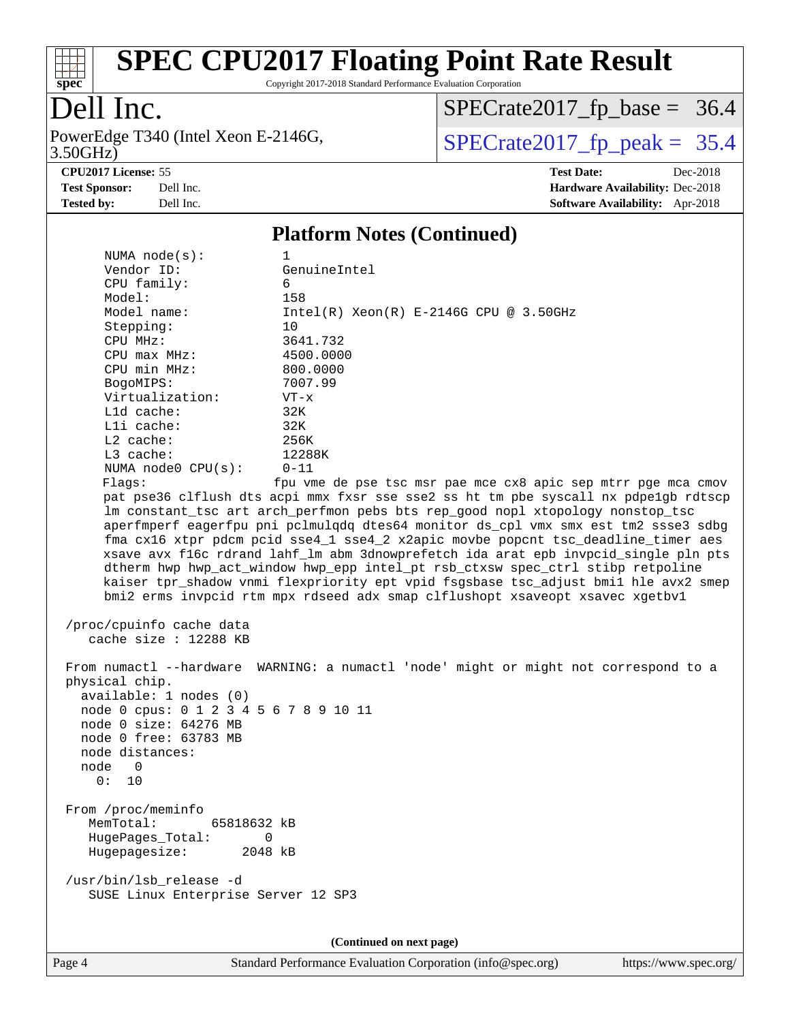

Copyright 2017-2018 Standard Performance Evaluation Corporation

### Dell Inc.

3.50GHz) PowerEdge T340 (Intel Xeon E-2146G,  $\text{SPECrate2017\_fp\_peak} = 35.4$ 

 $SPECrate2017_fp\_base = 36.4$ 

**[Tested by:](http://www.spec.org/auto/cpu2017/Docs/result-fields.html#Testedby)** Dell Inc. **[Software Availability:](http://www.spec.org/auto/cpu2017/Docs/result-fields.html#SoftwareAvailability)** Apr-2018

**[CPU2017 License:](http://www.spec.org/auto/cpu2017/Docs/result-fields.html#CPU2017License)** 55 **[Test Date:](http://www.spec.org/auto/cpu2017/Docs/result-fields.html#TestDate)** Dec-2018 **[Test Sponsor:](http://www.spec.org/auto/cpu2017/Docs/result-fields.html#TestSponsor)** Dell Inc. **[Hardware Availability:](http://www.spec.org/auto/cpu2017/Docs/result-fields.html#HardwareAvailability)** Dec-2018

### **[Platform Notes \(Continued\)](http://www.spec.org/auto/cpu2017/Docs/result-fields.html#PlatformNotes)**

| NUMA $node(s):$                        | 1                                                                                                                                                                   |  |  |  |  |  |
|----------------------------------------|---------------------------------------------------------------------------------------------------------------------------------------------------------------------|--|--|--|--|--|
| Vendor ID:                             | GenuineIntel                                                                                                                                                        |  |  |  |  |  |
| CPU family:                            | 6                                                                                                                                                                   |  |  |  |  |  |
| Model:                                 | 158                                                                                                                                                                 |  |  |  |  |  |
| Model name:                            | $Intel(R) Xeon(R) E-2146G CPU @ 3.50GHz$                                                                                                                            |  |  |  |  |  |
| Stepping:                              | 10                                                                                                                                                                  |  |  |  |  |  |
| CPU MHz:                               | 3641.732                                                                                                                                                            |  |  |  |  |  |
| $CPU$ $max$ $MHz$ :                    | 4500.0000                                                                                                                                                           |  |  |  |  |  |
| CPU min MHz:                           | 800.0000                                                                                                                                                            |  |  |  |  |  |
| BogoMIPS:                              | 7007.99                                                                                                                                                             |  |  |  |  |  |
| Virtualization:                        | $VT - x$                                                                                                                                                            |  |  |  |  |  |
| L1d cache:                             | 32K                                                                                                                                                                 |  |  |  |  |  |
| Lli cache:                             | 32K                                                                                                                                                                 |  |  |  |  |  |
| $L2$ cache:                            | 256K                                                                                                                                                                |  |  |  |  |  |
| L3 cache:                              | 12288K                                                                                                                                                              |  |  |  |  |  |
| NUMA $node0$ $CPU(s)$ :                | $0 - 11$                                                                                                                                                            |  |  |  |  |  |
| Flaqs:                                 | fpu vme de pse tsc msr pae mce cx8 apic sep mtrr pge mca cmov                                                                                                       |  |  |  |  |  |
|                                        | pat pse36 clflush dts acpi mmx fxsr sse sse2 ss ht tm pbe syscall nx pdpe1gb rdtscp                                                                                 |  |  |  |  |  |
|                                        | lm constant_tsc art arch_perfmon pebs bts rep_good nopl xtopology nonstop_tsc                                                                                       |  |  |  |  |  |
|                                        | aperfmperf eagerfpu pni pclmulqdq dtes64 monitor ds_cpl vmx smx est tm2 ssse3 sdbg                                                                                  |  |  |  |  |  |
|                                        | fma cx16 xtpr pdcm pcid sse4_1 sse4_2 x2apic movbe popcnt tsc_deadline_timer aes                                                                                    |  |  |  |  |  |
|                                        | xsave avx f16c rdrand lahf_lm abm 3dnowprefetch ida arat epb invpcid_single pln pts                                                                                 |  |  |  |  |  |
|                                        | dtherm hwp hwp_act_window hwp_epp intel_pt rsb_ctxsw spec_ctrl stibp retpoline                                                                                      |  |  |  |  |  |
|                                        | kaiser tpr_shadow vnmi flexpriority ept vpid fsgsbase tsc_adjust bmil hle avx2 smep<br>bmi2 erms invpcid rtm mpx rdseed adx smap clflushopt xsaveopt xsavec xgetbvl |  |  |  |  |  |
|                                        |                                                                                                                                                                     |  |  |  |  |  |
| /proc/cpuinfo cache data               |                                                                                                                                                                     |  |  |  |  |  |
| cache size : 12288 KB                  |                                                                                                                                                                     |  |  |  |  |  |
|                                        |                                                                                                                                                                     |  |  |  |  |  |
|                                        | From numactl --hardware WARNING: a numactl 'node' might or might not correspond to a                                                                                |  |  |  |  |  |
| physical chip.                         |                                                                                                                                                                     |  |  |  |  |  |
| available: 1 nodes (0)                 |                                                                                                                                                                     |  |  |  |  |  |
| node 0 cpus: 0 1 2 3 4 5 6 7 8 9 10 11 |                                                                                                                                                                     |  |  |  |  |  |
| node 0 size: 64276 MB                  |                                                                                                                                                                     |  |  |  |  |  |
| node 0 free: 63783 MB                  |                                                                                                                                                                     |  |  |  |  |  |
| node distances:                        |                                                                                                                                                                     |  |  |  |  |  |
| node 0                                 |                                                                                                                                                                     |  |  |  |  |  |
| 0: 10                                  |                                                                                                                                                                     |  |  |  |  |  |
|                                        |                                                                                                                                                                     |  |  |  |  |  |
| From /proc/meminfo                     |                                                                                                                                                                     |  |  |  |  |  |
| 65818632 kB<br>MemTotal:               |                                                                                                                                                                     |  |  |  |  |  |
| HugePages_Total:                       | 0                                                                                                                                                                   |  |  |  |  |  |
| Hugepagesize:<br>2048 kB               |                                                                                                                                                                     |  |  |  |  |  |
|                                        |                                                                                                                                                                     |  |  |  |  |  |
| /usr/bin/lsb_release -d                |                                                                                                                                                                     |  |  |  |  |  |
| SUSE Linux Enterprise Server 12 SP3    |                                                                                                                                                                     |  |  |  |  |  |
|                                        |                                                                                                                                                                     |  |  |  |  |  |
|                                        |                                                                                                                                                                     |  |  |  |  |  |
| (Continued on next page)               |                                                                                                                                                                     |  |  |  |  |  |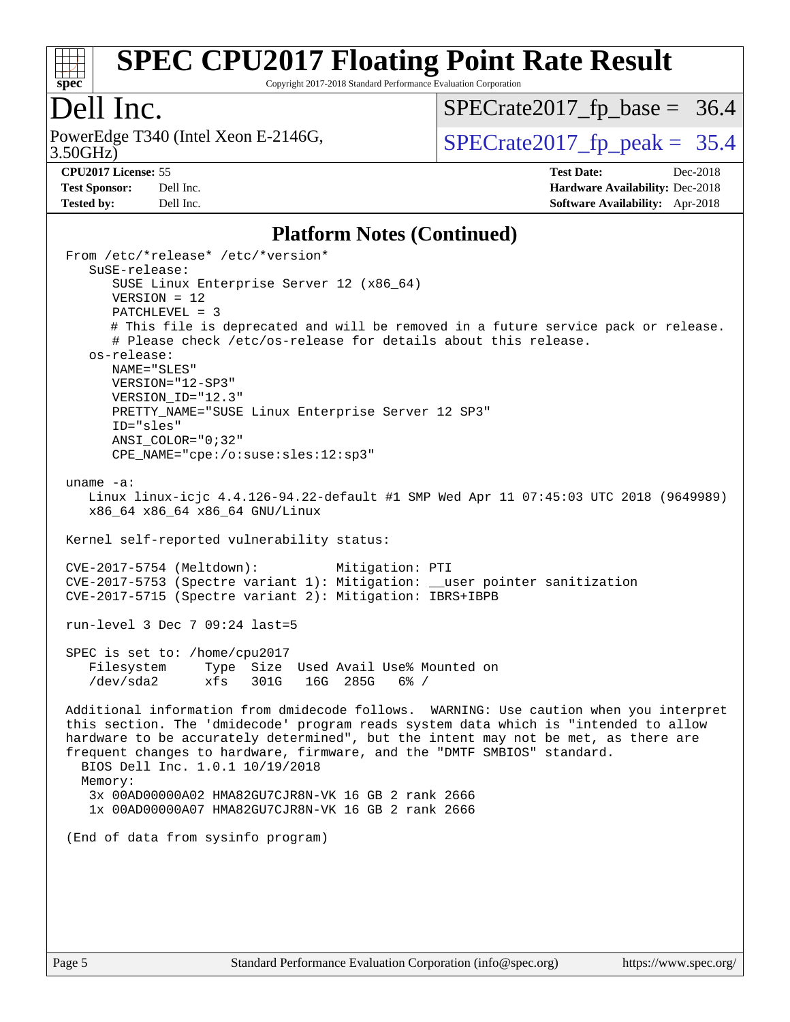

Copyright 2017-2018 Standard Performance Evaluation Corporation

#### Dell Inc.

3.50GHz) PowerEdge T340 (Intel Xeon E-2146G,  $\vert$  [SPECrate2017\\_fp\\_peak =](http://www.spec.org/auto/cpu2017/Docs/result-fields.html#SPECrate2017fppeak) 35.4

 $SPECTate2017_fp\_base = 36.4$ 

**[Test Sponsor:](http://www.spec.org/auto/cpu2017/Docs/result-fields.html#TestSponsor)** Dell Inc. **[Hardware Availability:](http://www.spec.org/auto/cpu2017/Docs/result-fields.html#HardwareAvailability)** Dec-2018 **[Tested by:](http://www.spec.org/auto/cpu2017/Docs/result-fields.html#Testedby)** Dell Inc. **[Software Availability:](http://www.spec.org/auto/cpu2017/Docs/result-fields.html#SoftwareAvailability)** Apr-2018

**[CPU2017 License:](http://www.spec.org/auto/cpu2017/Docs/result-fields.html#CPU2017License)** 55 **[Test Date:](http://www.spec.org/auto/cpu2017/Docs/result-fields.html#TestDate)** Dec-2018

**[Platform Notes \(Continued\)](http://www.spec.org/auto/cpu2017/Docs/result-fields.html#PlatformNotes)**

 From /etc/\*release\* /etc/\*version\* SuSE-release: SUSE Linux Enterprise Server 12 (x86\_64) VERSION = 12 PATCHLEVEL = 3 # This file is deprecated and will be removed in a future service pack or release. # Please check /etc/os-release for details about this release. os-release: NAME="SLES" VERSION="12-SP3" VERSION\_ID="12.3" PRETTY NAME="SUSE Linux Enterprise Server 12 SP3" ID="sles" ANSI\_COLOR="0;32" CPE\_NAME="cpe:/o:suse:sles:12:sp3" uname -a: Linux linux-icjc 4.4.126-94.22-default #1 SMP Wed Apr 11 07:45:03 UTC 2018 (9649989) x86\_64 x86\_64 x86\_64 GNU/Linux Kernel self-reported vulnerability status: CVE-2017-5754 (Meltdown): Mitigation: PTI CVE-2017-5753 (Spectre variant 1): Mitigation: \_\_user pointer sanitization CVE-2017-5715 (Spectre variant 2): Mitigation: IBRS+IBPB run-level 3 Dec 7 09:24 last=5 SPEC is set to: /home/cpu2017 Filesystem Type Size Used Avail Use% Mounted on /dev/sda2 xfs 301G 16G 285G 6% / Additional information from dmidecode follows. WARNING: Use caution when you interpret this section. The 'dmidecode' program reads system data which is "intended to allow hardware to be accurately determined", but the intent may not be met, as there are frequent changes to hardware, firmware, and the "DMTF SMBIOS" standard. BIOS Dell Inc. 1.0.1 10/19/2018 Memory: 3x 00AD00000A02 HMA82GU7CJR8N-VK 16 GB 2 rank 2666 1x 00AD00000A07 HMA82GU7CJR8N-VK 16 GB 2 rank 2666 (End of data from sysinfo program)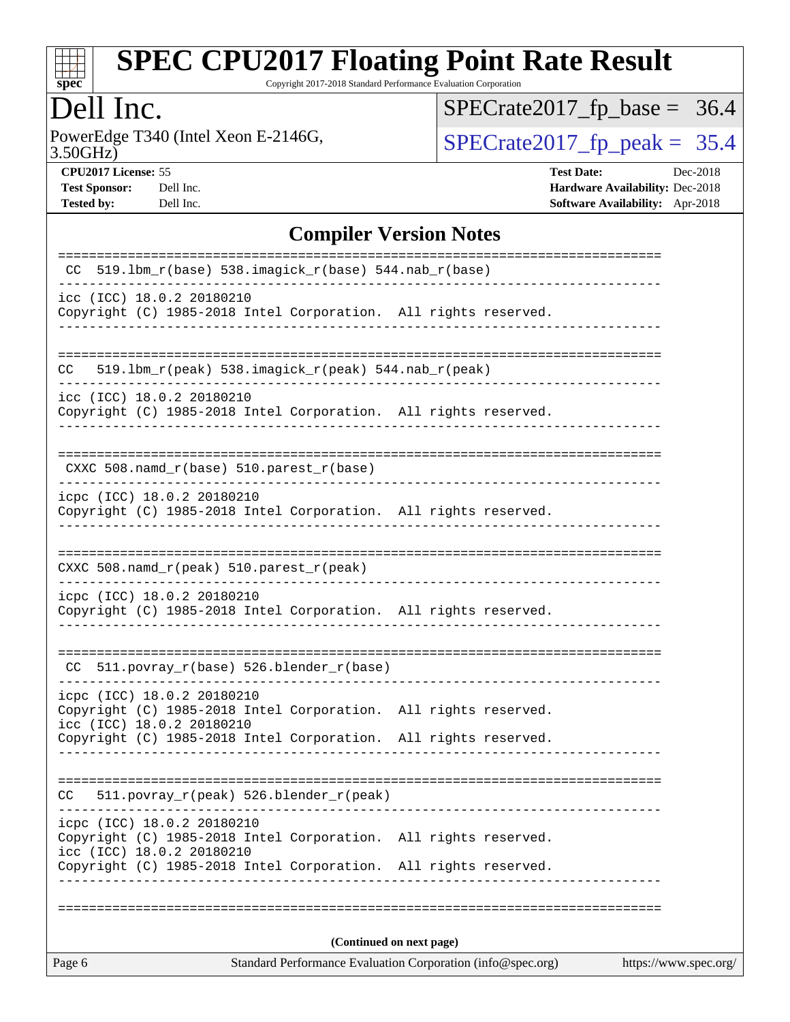

Copyright 2017-2018 Standard Performance Evaluation Corporation

### Dell Inc.

3.50GHz) PowerEdge T340 (Intel Xeon E-2146G,  $\text{SPECrate2017\_fp\_peak} = 35.4$ 

 $SPECrate2017_fp\_base = 36.4$ 

**[CPU2017 License:](http://www.spec.org/auto/cpu2017/Docs/result-fields.html#CPU2017License)** 55 **[Test Date:](http://www.spec.org/auto/cpu2017/Docs/result-fields.html#TestDate)** Dec-2018 **[Test Sponsor:](http://www.spec.org/auto/cpu2017/Docs/result-fields.html#TestSponsor)** Dell Inc. **[Hardware Availability:](http://www.spec.org/auto/cpu2017/Docs/result-fields.html#HardwareAvailability)** Dec-2018 **[Tested by:](http://www.spec.org/auto/cpu2017/Docs/result-fields.html#Testedby)** Dell Inc. **[Software Availability:](http://www.spec.org/auto/cpu2017/Docs/result-fields.html#SoftwareAvailability)** Apr-2018

#### **[Compiler Version Notes](http://www.spec.org/auto/cpu2017/Docs/result-fields.html#CompilerVersionNotes)**

| Page 6                                                  |                                                                                                                                    | Standard Performance Evaluation Corporation (info@spec.org) | https://www.spec.org/ |  |  |  |
|---------------------------------------------------------|------------------------------------------------------------------------------------------------------------------------------------|-------------------------------------------------------------|-----------------------|--|--|--|
|                                                         | (Continued on next page)                                                                                                           |                                                             |                       |  |  |  |
|                                                         |                                                                                                                                    |                                                             |                       |  |  |  |
| icpc (ICC) 18.0.2 20180210<br>icc (ICC) 18.0.2 20180210 | Copyright (C) 1985-2018 Intel Corporation. All rights reserved.<br>Copyright (C) 1985-2018 Intel Corporation. All rights reserved. |                                                             |                       |  |  |  |
| CC.                                                     | 511.povray_r(peak) 526.blender_r(peak)                                                                                             |                                                             |                       |  |  |  |
|                                                         | Copyright (C) 1985-2018 Intel Corporation. All rights reserved.                                                                    |                                                             |                       |  |  |  |
| icpc (ICC) 18.0.2 20180210<br>icc (ICC) 18.0.2 20180210 | Copyright (C) 1985-2018 Intel Corporation. All rights reserved.                                                                    |                                                             |                       |  |  |  |
|                                                         | CC 511.povray_r(base) 526.blender_r(base)                                                                                          |                                                             |                       |  |  |  |
| icpc (ICC) 18.0.2 20180210                              | Copyright (C) 1985-2018 Intel Corporation. All rights reserved.                                                                    |                                                             |                       |  |  |  |
|                                                         | CXXC 508.namd_r(peak) 510.parest_r(peak)                                                                                           |                                                             |                       |  |  |  |
| icpc (ICC) 18.0.2 20180210                              | Copyright (C) 1985-2018 Intel Corporation. All rights reserved.                                                                    |                                                             |                       |  |  |  |
|                                                         | CXXC 508.namd_r(base) 510.parest_r(base)                                                                                           |                                                             |                       |  |  |  |
| icc (ICC) 18.0.2 20180210                               | Copyright (C) 1985-2018 Intel Corporation. All rights reserved.                                                                    |                                                             |                       |  |  |  |
| CC                                                      | 519.1bm_r(peak) 538.imagick_r(peak) 544.nab_r(peak)                                                                                |                                                             |                       |  |  |  |
| icc (ICC) 18.0.2 20180210                               | Copyright (C) 1985-2018 Intel Corporation. All rights reserved.                                                                    |                                                             |                       |  |  |  |
|                                                         | $CC$ 519.1bm_ $r$ (base) 538.imagick_ $r$ (base) 544.nab_ $r$ (base)                                                               | =================================                           |                       |  |  |  |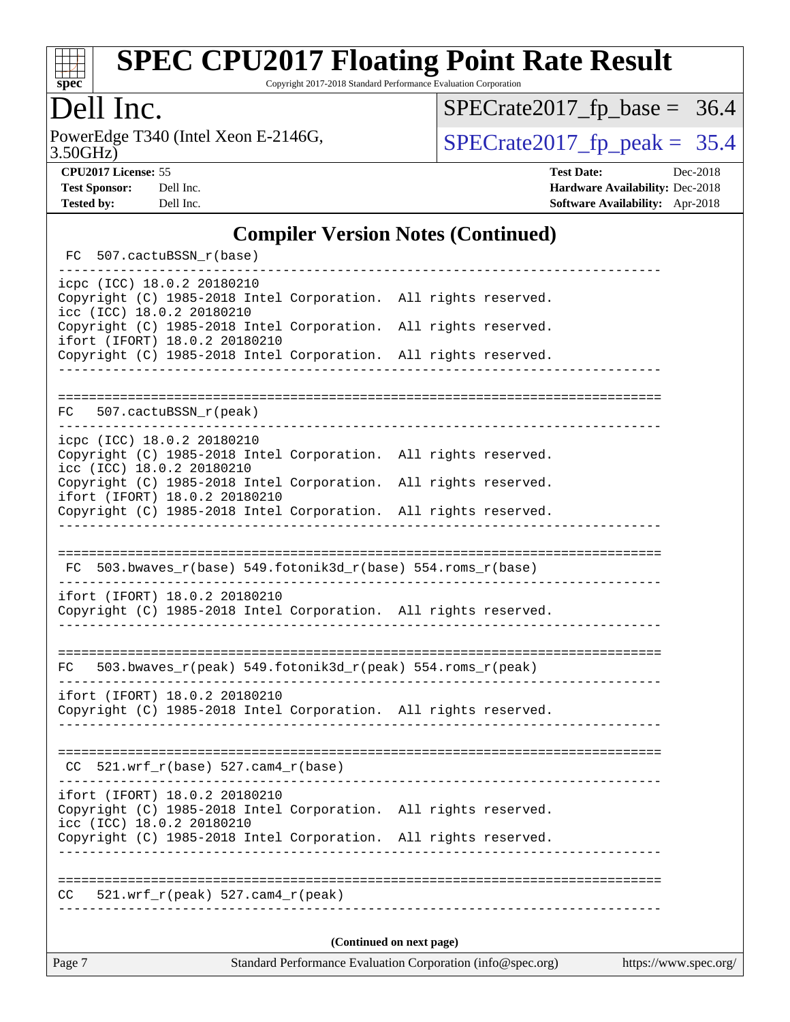

Copyright 2017-2018 Standard Performance Evaluation Corporation

### Dell Inc.

3.50GHz) PowerEdge T340 (Intel Xeon E-2146G,  $\text{SPECrate2017\_fp\_peak} = 35.4$ 

 $SPECrate2017_fp\_base = 36.4$ 

**[CPU2017 License:](http://www.spec.org/auto/cpu2017/Docs/result-fields.html#CPU2017License)** 55 **[Test Date:](http://www.spec.org/auto/cpu2017/Docs/result-fields.html#TestDate)** Dec-2018

**[Test Sponsor:](http://www.spec.org/auto/cpu2017/Docs/result-fields.html#TestSponsor)** Dell Inc. **[Hardware Availability:](http://www.spec.org/auto/cpu2017/Docs/result-fields.html#HardwareAvailability)** Dec-2018 **[Tested by:](http://www.spec.org/auto/cpu2017/Docs/result-fields.html#Testedby)** Dell Inc. **[Software Availability:](http://www.spec.org/auto/cpu2017/Docs/result-fields.html#SoftwareAvailability)** Apr-2018

#### **[Compiler Version Notes \(Continued\)](http://www.spec.org/auto/cpu2017/Docs/result-fields.html#CompilerVersionNotes)**

| Page 7 |                          | Standard Performance Evaluation Corporation (info@spec.org)<br>https://www.spec.org/ |  |                                                                         |  |  |  |
|--------|--------------------------|--------------------------------------------------------------------------------------|--|-------------------------------------------------------------------------|--|--|--|
|        | (Continued on next page) |                                                                                      |  |                                                                         |  |  |  |
| CC     |                          | 521.wrf_r(peak) 527.cam4_r(peak)                                                     |  |                                                                         |  |  |  |
|        |                          |                                                                                      |  |                                                                         |  |  |  |
|        |                          |                                                                                      |  | Copyright (C) 1985-2018 Intel Corporation. All rights reserved.         |  |  |  |
|        |                          | ifort (IFORT) 18.0.2 20180210<br>icc (ICC) 18.0.2 20180210                           |  | Copyright (C) 1985-2018 Intel Corporation. All rights reserved.         |  |  |  |
|        |                          |                                                                                      |  |                                                                         |  |  |  |
|        |                          | $CC$ 521.wrf_r(base) 527.cam4_r(base)                                                |  |                                                                         |  |  |  |
|        |                          |                                                                                      |  | Copyright (C) 1985-2018 Intel Corporation. All rights reserved.         |  |  |  |
|        |                          | ifort (IFORT) 18.0.2 20180210                                                        |  |                                                                         |  |  |  |
| FC     |                          |                                                                                      |  | 503.bwaves_r(peak) 549.fotonik3d_r(peak) 554.roms_r(peak)               |  |  |  |
|        |                          |                                                                                      |  |                                                                         |  |  |  |
|        |                          | ifort (IFORT) 18.0.2 20180210                                                        |  | Copyright (C) 1985-2018 Intel Corporation. All rights reserved.         |  |  |  |
|        |                          |                                                                                      |  | $FC$ 503.bwaves_ $r(base)$ 549.fotonik3d_ $r(base)$ 554.roms_ $r(base)$ |  |  |  |
|        |                          |                                                                                      |  |                                                                         |  |  |  |
|        |                          |                                                                                      |  | Copyright (C) 1985-2018 Intel Corporation. All rights reserved.         |  |  |  |
|        |                          | ifort (IFORT) 18.0.2 20180210                                                        |  | Copyright (C) 1985-2018 Intel Corporation. All rights reserved.         |  |  |  |
|        |                          | icc (ICC) 18.0.2 20180210                                                            |  | Copyright (C) 1985-2018 Intel Corporation. All rights reserved.         |  |  |  |
|        |                          | icpc (ICC) 18.0.2 20180210                                                           |  |                                                                         |  |  |  |
|        |                          | FC 507.cactuBSSN_r(peak)                                                             |  |                                                                         |  |  |  |
|        |                          |                                                                                      |  |                                                                         |  |  |  |
|        |                          | ifort (IFORT) 18.0.2 20180210                                                        |  | Copyright (C) 1985-2018 Intel Corporation. All rights reserved.         |  |  |  |
|        |                          | icc (ICC) 18.0.2 20180210                                                            |  | Copyright (C) 1985-2018 Intel Corporation. All rights reserved.         |  |  |  |
|        |                          | icpc (ICC) 18.0.2 20180210                                                           |  | Copyright (C) 1985-2018 Intel Corporation. All rights reserved.         |  |  |  |
|        |                          | FC 507.cactuBSSN_r(base)                                                             |  |                                                                         |  |  |  |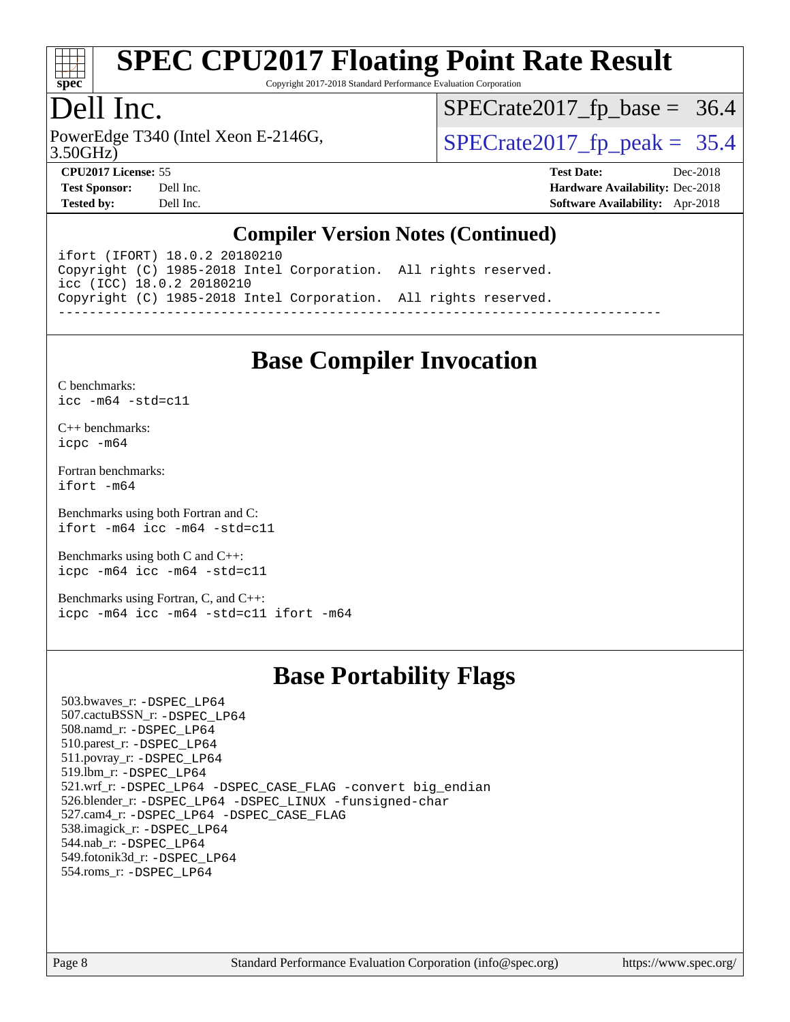

Copyright 2017-2018 Standard Performance Evaluation Corporation

#### Dell Inc.

PowerEdge T340 (Intel Xeon E-2146G, 3.50GHz)

 $SPECTate 2017_fp\_peak = 35.4$  $SPECTate2017_fp\_base = 36.4$ 

**[CPU2017 License:](http://www.spec.org/auto/cpu2017/Docs/result-fields.html#CPU2017License)** 55 **[Test Date:](http://www.spec.org/auto/cpu2017/Docs/result-fields.html#TestDate)** Dec-2018 **[Test Sponsor:](http://www.spec.org/auto/cpu2017/Docs/result-fields.html#TestSponsor)** Dell Inc. **[Hardware Availability:](http://www.spec.org/auto/cpu2017/Docs/result-fields.html#HardwareAvailability)** Dec-2018 **[Tested by:](http://www.spec.org/auto/cpu2017/Docs/result-fields.html#Testedby)** Dell Inc. **[Software Availability:](http://www.spec.org/auto/cpu2017/Docs/result-fields.html#SoftwareAvailability)** Apr-2018

#### **[Compiler Version Notes \(Continued\)](http://www.spec.org/auto/cpu2017/Docs/result-fields.html#CompilerVersionNotes)**

ifort (IFORT) 18.0.2 20180210 Copyright (C) 1985-2018 Intel Corporation. All rights reserved. icc (ICC) 18.0.2 20180210 Copyright (C) 1985-2018 Intel Corporation. All rights reserved. ------------------------------------------------------------------------------

#### **[Base Compiler Invocation](http://www.spec.org/auto/cpu2017/Docs/result-fields.html#BaseCompilerInvocation)**

[C benchmarks](http://www.spec.org/auto/cpu2017/Docs/result-fields.html#Cbenchmarks): [icc -m64 -std=c11](http://www.spec.org/cpu2017/results/res2018q4/cpu2017-20181210-10224.flags.html#user_CCbase_intel_icc_64bit_c11_33ee0cdaae7deeeab2a9725423ba97205ce30f63b9926c2519791662299b76a0318f32ddfffdc46587804de3178b4f9328c46fa7c2b0cd779d7a61945c91cd35)

[C++ benchmarks:](http://www.spec.org/auto/cpu2017/Docs/result-fields.html#CXXbenchmarks) [icpc -m64](http://www.spec.org/cpu2017/results/res2018q4/cpu2017-20181210-10224.flags.html#user_CXXbase_intel_icpc_64bit_4ecb2543ae3f1412ef961e0650ca070fec7b7afdcd6ed48761b84423119d1bf6bdf5cad15b44d48e7256388bc77273b966e5eb805aefd121eb22e9299b2ec9d9)

[Fortran benchmarks](http://www.spec.org/auto/cpu2017/Docs/result-fields.html#Fortranbenchmarks): [ifort -m64](http://www.spec.org/cpu2017/results/res2018q4/cpu2017-20181210-10224.flags.html#user_FCbase_intel_ifort_64bit_24f2bb282fbaeffd6157abe4f878425411749daecae9a33200eee2bee2fe76f3b89351d69a8130dd5949958ce389cf37ff59a95e7a40d588e8d3a57e0c3fd751)

[Benchmarks using both Fortran and C](http://www.spec.org/auto/cpu2017/Docs/result-fields.html#BenchmarksusingbothFortranandC): [ifort -m64](http://www.spec.org/cpu2017/results/res2018q4/cpu2017-20181210-10224.flags.html#user_CC_FCbase_intel_ifort_64bit_24f2bb282fbaeffd6157abe4f878425411749daecae9a33200eee2bee2fe76f3b89351d69a8130dd5949958ce389cf37ff59a95e7a40d588e8d3a57e0c3fd751) [icc -m64 -std=c11](http://www.spec.org/cpu2017/results/res2018q4/cpu2017-20181210-10224.flags.html#user_CC_FCbase_intel_icc_64bit_c11_33ee0cdaae7deeeab2a9725423ba97205ce30f63b9926c2519791662299b76a0318f32ddfffdc46587804de3178b4f9328c46fa7c2b0cd779d7a61945c91cd35)

[Benchmarks using both C and C++](http://www.spec.org/auto/cpu2017/Docs/result-fields.html#BenchmarksusingbothCandCXX): [icpc -m64](http://www.spec.org/cpu2017/results/res2018q4/cpu2017-20181210-10224.flags.html#user_CC_CXXbase_intel_icpc_64bit_4ecb2543ae3f1412ef961e0650ca070fec7b7afdcd6ed48761b84423119d1bf6bdf5cad15b44d48e7256388bc77273b966e5eb805aefd121eb22e9299b2ec9d9) [icc -m64 -std=c11](http://www.spec.org/cpu2017/results/res2018q4/cpu2017-20181210-10224.flags.html#user_CC_CXXbase_intel_icc_64bit_c11_33ee0cdaae7deeeab2a9725423ba97205ce30f63b9926c2519791662299b76a0318f32ddfffdc46587804de3178b4f9328c46fa7c2b0cd779d7a61945c91cd35)

[Benchmarks using Fortran, C, and C++:](http://www.spec.org/auto/cpu2017/Docs/result-fields.html#BenchmarksusingFortranCandCXX) [icpc -m64](http://www.spec.org/cpu2017/results/res2018q4/cpu2017-20181210-10224.flags.html#user_CC_CXX_FCbase_intel_icpc_64bit_4ecb2543ae3f1412ef961e0650ca070fec7b7afdcd6ed48761b84423119d1bf6bdf5cad15b44d48e7256388bc77273b966e5eb805aefd121eb22e9299b2ec9d9) [icc -m64 -std=c11](http://www.spec.org/cpu2017/results/res2018q4/cpu2017-20181210-10224.flags.html#user_CC_CXX_FCbase_intel_icc_64bit_c11_33ee0cdaae7deeeab2a9725423ba97205ce30f63b9926c2519791662299b76a0318f32ddfffdc46587804de3178b4f9328c46fa7c2b0cd779d7a61945c91cd35) [ifort -m64](http://www.spec.org/cpu2017/results/res2018q4/cpu2017-20181210-10224.flags.html#user_CC_CXX_FCbase_intel_ifort_64bit_24f2bb282fbaeffd6157abe4f878425411749daecae9a33200eee2bee2fe76f3b89351d69a8130dd5949958ce389cf37ff59a95e7a40d588e8d3a57e0c3fd751)

#### **[Base Portability Flags](http://www.spec.org/auto/cpu2017/Docs/result-fields.html#BasePortabilityFlags)**

 503.bwaves\_r: [-DSPEC\\_LP64](http://www.spec.org/cpu2017/results/res2018q4/cpu2017-20181210-10224.flags.html#suite_basePORTABILITY503_bwaves_r_DSPEC_LP64) 507.cactuBSSN\_r: [-DSPEC\\_LP64](http://www.spec.org/cpu2017/results/res2018q4/cpu2017-20181210-10224.flags.html#suite_basePORTABILITY507_cactuBSSN_r_DSPEC_LP64) 508.namd\_r: [-DSPEC\\_LP64](http://www.spec.org/cpu2017/results/res2018q4/cpu2017-20181210-10224.flags.html#suite_basePORTABILITY508_namd_r_DSPEC_LP64) 510.parest\_r: [-DSPEC\\_LP64](http://www.spec.org/cpu2017/results/res2018q4/cpu2017-20181210-10224.flags.html#suite_basePORTABILITY510_parest_r_DSPEC_LP64) 511.povray\_r: [-DSPEC\\_LP64](http://www.spec.org/cpu2017/results/res2018q4/cpu2017-20181210-10224.flags.html#suite_basePORTABILITY511_povray_r_DSPEC_LP64) 519.lbm\_r: [-DSPEC\\_LP64](http://www.spec.org/cpu2017/results/res2018q4/cpu2017-20181210-10224.flags.html#suite_basePORTABILITY519_lbm_r_DSPEC_LP64) 521.wrf\_r: [-DSPEC\\_LP64](http://www.spec.org/cpu2017/results/res2018q4/cpu2017-20181210-10224.flags.html#suite_basePORTABILITY521_wrf_r_DSPEC_LP64) [-DSPEC\\_CASE\\_FLAG](http://www.spec.org/cpu2017/results/res2018q4/cpu2017-20181210-10224.flags.html#b521.wrf_r_baseCPORTABILITY_DSPEC_CASE_FLAG) [-convert big\\_endian](http://www.spec.org/cpu2017/results/res2018q4/cpu2017-20181210-10224.flags.html#user_baseFPORTABILITY521_wrf_r_convert_big_endian_c3194028bc08c63ac5d04de18c48ce6d347e4e562e8892b8bdbdc0214820426deb8554edfa529a3fb25a586e65a3d812c835984020483e7e73212c4d31a38223) 526.blender\_r: [-DSPEC\\_LP64](http://www.spec.org/cpu2017/results/res2018q4/cpu2017-20181210-10224.flags.html#suite_basePORTABILITY526_blender_r_DSPEC_LP64) [-DSPEC\\_LINUX](http://www.spec.org/cpu2017/results/res2018q4/cpu2017-20181210-10224.flags.html#b526.blender_r_baseCPORTABILITY_DSPEC_LINUX) [-funsigned-char](http://www.spec.org/cpu2017/results/res2018q4/cpu2017-20181210-10224.flags.html#user_baseCPORTABILITY526_blender_r_force_uchar_40c60f00ab013830e2dd6774aeded3ff59883ba5a1fc5fc14077f794d777847726e2a5858cbc7672e36e1b067e7e5c1d9a74f7176df07886a243d7cc18edfe67) 527.cam4\_r: [-DSPEC\\_LP64](http://www.spec.org/cpu2017/results/res2018q4/cpu2017-20181210-10224.flags.html#suite_basePORTABILITY527_cam4_r_DSPEC_LP64) [-DSPEC\\_CASE\\_FLAG](http://www.spec.org/cpu2017/results/res2018q4/cpu2017-20181210-10224.flags.html#b527.cam4_r_baseCPORTABILITY_DSPEC_CASE_FLAG) 538.imagick\_r: [-DSPEC\\_LP64](http://www.spec.org/cpu2017/results/res2018q4/cpu2017-20181210-10224.flags.html#suite_basePORTABILITY538_imagick_r_DSPEC_LP64) 544.nab\_r: [-DSPEC\\_LP64](http://www.spec.org/cpu2017/results/res2018q4/cpu2017-20181210-10224.flags.html#suite_basePORTABILITY544_nab_r_DSPEC_LP64) 549.fotonik3d\_r: [-DSPEC\\_LP64](http://www.spec.org/cpu2017/results/res2018q4/cpu2017-20181210-10224.flags.html#suite_basePORTABILITY549_fotonik3d_r_DSPEC_LP64) 554.roms\_r: [-DSPEC\\_LP64](http://www.spec.org/cpu2017/results/res2018q4/cpu2017-20181210-10224.flags.html#suite_basePORTABILITY554_roms_r_DSPEC_LP64)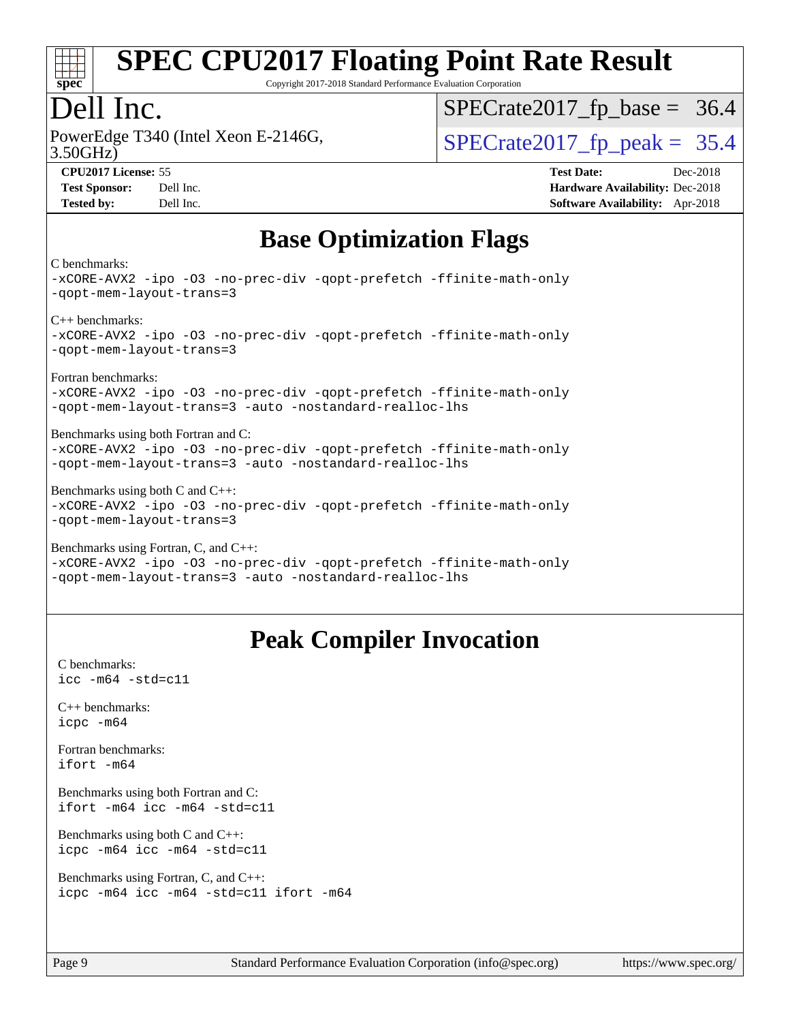

Copyright 2017-2018 Standard Performance Evaluation Corporation

#### Dell Inc.

PowerEdge T340 (Intel Xeon E-2146G, 3.50GHz)

 $SPECTate 2017_fp\_peak = 35.4$  $SPECTate2017_fp\_base = 36.4$ 

**[CPU2017 License:](http://www.spec.org/auto/cpu2017/Docs/result-fields.html#CPU2017License)** 55 **[Test Date:](http://www.spec.org/auto/cpu2017/Docs/result-fields.html#TestDate)** Dec-2018 **[Test Sponsor:](http://www.spec.org/auto/cpu2017/Docs/result-fields.html#TestSponsor)** Dell Inc. **[Hardware Availability:](http://www.spec.org/auto/cpu2017/Docs/result-fields.html#HardwareAvailability)** Dec-2018 **[Tested by:](http://www.spec.org/auto/cpu2017/Docs/result-fields.html#Testedby)** Dell Inc. **[Software Availability:](http://www.spec.org/auto/cpu2017/Docs/result-fields.html#SoftwareAvailability)** Apr-2018

### **[Base Optimization Flags](http://www.spec.org/auto/cpu2017/Docs/result-fields.html#BaseOptimizationFlags)**

[C benchmarks:](http://www.spec.org/auto/cpu2017/Docs/result-fields.html#Cbenchmarks)

[-xCORE-AVX2](http://www.spec.org/cpu2017/results/res2018q4/cpu2017-20181210-10224.flags.html#user_CCbase_f-xCORE-AVX2) [-ipo](http://www.spec.org/cpu2017/results/res2018q4/cpu2017-20181210-10224.flags.html#user_CCbase_f-ipo) [-O3](http://www.spec.org/cpu2017/results/res2018q4/cpu2017-20181210-10224.flags.html#user_CCbase_f-O3) [-no-prec-div](http://www.spec.org/cpu2017/results/res2018q4/cpu2017-20181210-10224.flags.html#user_CCbase_f-no-prec-div) [-qopt-prefetch](http://www.spec.org/cpu2017/results/res2018q4/cpu2017-20181210-10224.flags.html#user_CCbase_f-qopt-prefetch) [-ffinite-math-only](http://www.spec.org/cpu2017/results/res2018q4/cpu2017-20181210-10224.flags.html#user_CCbase_f_finite_math_only_cb91587bd2077682c4b38af759c288ed7c732db004271a9512da14a4f8007909a5f1427ecbf1a0fb78ff2a814402c6114ac565ca162485bbcae155b5e4258871) [-qopt-mem-layout-trans=3](http://www.spec.org/cpu2017/results/res2018q4/cpu2017-20181210-10224.flags.html#user_CCbase_f-qopt-mem-layout-trans_de80db37974c74b1f0e20d883f0b675c88c3b01e9d123adea9b28688d64333345fb62bc4a798493513fdb68f60282f9a726aa07f478b2f7113531aecce732043) [C++ benchmarks](http://www.spec.org/auto/cpu2017/Docs/result-fields.html#CXXbenchmarks): [-xCORE-AVX2](http://www.spec.org/cpu2017/results/res2018q4/cpu2017-20181210-10224.flags.html#user_CXXbase_f-xCORE-AVX2) [-ipo](http://www.spec.org/cpu2017/results/res2018q4/cpu2017-20181210-10224.flags.html#user_CXXbase_f-ipo) [-O3](http://www.spec.org/cpu2017/results/res2018q4/cpu2017-20181210-10224.flags.html#user_CXXbase_f-O3) [-no-prec-div](http://www.spec.org/cpu2017/results/res2018q4/cpu2017-20181210-10224.flags.html#user_CXXbase_f-no-prec-div) [-qopt-prefetch](http://www.spec.org/cpu2017/results/res2018q4/cpu2017-20181210-10224.flags.html#user_CXXbase_f-qopt-prefetch) [-ffinite-math-only](http://www.spec.org/cpu2017/results/res2018q4/cpu2017-20181210-10224.flags.html#user_CXXbase_f_finite_math_only_cb91587bd2077682c4b38af759c288ed7c732db004271a9512da14a4f8007909a5f1427ecbf1a0fb78ff2a814402c6114ac565ca162485bbcae155b5e4258871) [-qopt-mem-layout-trans=3](http://www.spec.org/cpu2017/results/res2018q4/cpu2017-20181210-10224.flags.html#user_CXXbase_f-qopt-mem-layout-trans_de80db37974c74b1f0e20d883f0b675c88c3b01e9d123adea9b28688d64333345fb62bc4a798493513fdb68f60282f9a726aa07f478b2f7113531aecce732043) [Fortran benchmarks:](http://www.spec.org/auto/cpu2017/Docs/result-fields.html#Fortranbenchmarks) [-xCORE-AVX2](http://www.spec.org/cpu2017/results/res2018q4/cpu2017-20181210-10224.flags.html#user_FCbase_f-xCORE-AVX2) [-ipo](http://www.spec.org/cpu2017/results/res2018q4/cpu2017-20181210-10224.flags.html#user_FCbase_f-ipo) [-O3](http://www.spec.org/cpu2017/results/res2018q4/cpu2017-20181210-10224.flags.html#user_FCbase_f-O3) [-no-prec-div](http://www.spec.org/cpu2017/results/res2018q4/cpu2017-20181210-10224.flags.html#user_FCbase_f-no-prec-div) [-qopt-prefetch](http://www.spec.org/cpu2017/results/res2018q4/cpu2017-20181210-10224.flags.html#user_FCbase_f-qopt-prefetch) [-ffinite-math-only](http://www.spec.org/cpu2017/results/res2018q4/cpu2017-20181210-10224.flags.html#user_FCbase_f_finite_math_only_cb91587bd2077682c4b38af759c288ed7c732db004271a9512da14a4f8007909a5f1427ecbf1a0fb78ff2a814402c6114ac565ca162485bbcae155b5e4258871) [-qopt-mem-layout-trans=3](http://www.spec.org/cpu2017/results/res2018q4/cpu2017-20181210-10224.flags.html#user_FCbase_f-qopt-mem-layout-trans_de80db37974c74b1f0e20d883f0b675c88c3b01e9d123adea9b28688d64333345fb62bc4a798493513fdb68f60282f9a726aa07f478b2f7113531aecce732043) [-auto](http://www.spec.org/cpu2017/results/res2018q4/cpu2017-20181210-10224.flags.html#user_FCbase_f-auto) [-nostandard-realloc-lhs](http://www.spec.org/cpu2017/results/res2018q4/cpu2017-20181210-10224.flags.html#user_FCbase_f_2003_std_realloc_82b4557e90729c0f113870c07e44d33d6f5a304b4f63d4c15d2d0f1fab99f5daaed73bdb9275d9ae411527f28b936061aa8b9c8f2d63842963b95c9dd6426b8a) [Benchmarks using both Fortran and C:](http://www.spec.org/auto/cpu2017/Docs/result-fields.html#BenchmarksusingbothFortranandC) [-xCORE-AVX2](http://www.spec.org/cpu2017/results/res2018q4/cpu2017-20181210-10224.flags.html#user_CC_FCbase_f-xCORE-AVX2) [-ipo](http://www.spec.org/cpu2017/results/res2018q4/cpu2017-20181210-10224.flags.html#user_CC_FCbase_f-ipo) [-O3](http://www.spec.org/cpu2017/results/res2018q4/cpu2017-20181210-10224.flags.html#user_CC_FCbase_f-O3) [-no-prec-div](http://www.spec.org/cpu2017/results/res2018q4/cpu2017-20181210-10224.flags.html#user_CC_FCbase_f-no-prec-div) [-qopt-prefetch](http://www.spec.org/cpu2017/results/res2018q4/cpu2017-20181210-10224.flags.html#user_CC_FCbase_f-qopt-prefetch) [-ffinite-math-only](http://www.spec.org/cpu2017/results/res2018q4/cpu2017-20181210-10224.flags.html#user_CC_FCbase_f_finite_math_only_cb91587bd2077682c4b38af759c288ed7c732db004271a9512da14a4f8007909a5f1427ecbf1a0fb78ff2a814402c6114ac565ca162485bbcae155b5e4258871) [-qopt-mem-layout-trans=3](http://www.spec.org/cpu2017/results/res2018q4/cpu2017-20181210-10224.flags.html#user_CC_FCbase_f-qopt-mem-layout-trans_de80db37974c74b1f0e20d883f0b675c88c3b01e9d123adea9b28688d64333345fb62bc4a798493513fdb68f60282f9a726aa07f478b2f7113531aecce732043) [-auto](http://www.spec.org/cpu2017/results/res2018q4/cpu2017-20181210-10224.flags.html#user_CC_FCbase_f-auto) [-nostandard-realloc-lhs](http://www.spec.org/cpu2017/results/res2018q4/cpu2017-20181210-10224.flags.html#user_CC_FCbase_f_2003_std_realloc_82b4557e90729c0f113870c07e44d33d6f5a304b4f63d4c15d2d0f1fab99f5daaed73bdb9275d9ae411527f28b936061aa8b9c8f2d63842963b95c9dd6426b8a) [Benchmarks using both C and C++](http://www.spec.org/auto/cpu2017/Docs/result-fields.html#BenchmarksusingbothCandCXX): [-xCORE-AVX2](http://www.spec.org/cpu2017/results/res2018q4/cpu2017-20181210-10224.flags.html#user_CC_CXXbase_f-xCORE-AVX2) [-ipo](http://www.spec.org/cpu2017/results/res2018q4/cpu2017-20181210-10224.flags.html#user_CC_CXXbase_f-ipo) [-O3](http://www.spec.org/cpu2017/results/res2018q4/cpu2017-20181210-10224.flags.html#user_CC_CXXbase_f-O3) [-no-prec-div](http://www.spec.org/cpu2017/results/res2018q4/cpu2017-20181210-10224.flags.html#user_CC_CXXbase_f-no-prec-div) [-qopt-prefetch](http://www.spec.org/cpu2017/results/res2018q4/cpu2017-20181210-10224.flags.html#user_CC_CXXbase_f-qopt-prefetch) [-ffinite-math-only](http://www.spec.org/cpu2017/results/res2018q4/cpu2017-20181210-10224.flags.html#user_CC_CXXbase_f_finite_math_only_cb91587bd2077682c4b38af759c288ed7c732db004271a9512da14a4f8007909a5f1427ecbf1a0fb78ff2a814402c6114ac565ca162485bbcae155b5e4258871) [-qopt-mem-layout-trans=3](http://www.spec.org/cpu2017/results/res2018q4/cpu2017-20181210-10224.flags.html#user_CC_CXXbase_f-qopt-mem-layout-trans_de80db37974c74b1f0e20d883f0b675c88c3b01e9d123adea9b28688d64333345fb62bc4a798493513fdb68f60282f9a726aa07f478b2f7113531aecce732043) [Benchmarks using Fortran, C, and C++](http://www.spec.org/auto/cpu2017/Docs/result-fields.html#BenchmarksusingFortranCandCXX): [-xCORE-AVX2](http://www.spec.org/cpu2017/results/res2018q4/cpu2017-20181210-10224.flags.html#user_CC_CXX_FCbase_f-xCORE-AVX2) [-ipo](http://www.spec.org/cpu2017/results/res2018q4/cpu2017-20181210-10224.flags.html#user_CC_CXX_FCbase_f-ipo) [-O3](http://www.spec.org/cpu2017/results/res2018q4/cpu2017-20181210-10224.flags.html#user_CC_CXX_FCbase_f-O3) [-no-prec-div](http://www.spec.org/cpu2017/results/res2018q4/cpu2017-20181210-10224.flags.html#user_CC_CXX_FCbase_f-no-prec-div) [-qopt-prefetch](http://www.spec.org/cpu2017/results/res2018q4/cpu2017-20181210-10224.flags.html#user_CC_CXX_FCbase_f-qopt-prefetch) [-ffinite-math-only](http://www.spec.org/cpu2017/results/res2018q4/cpu2017-20181210-10224.flags.html#user_CC_CXX_FCbase_f_finite_math_only_cb91587bd2077682c4b38af759c288ed7c732db004271a9512da14a4f8007909a5f1427ecbf1a0fb78ff2a814402c6114ac565ca162485bbcae155b5e4258871)

[-qopt-mem-layout-trans=3](http://www.spec.org/cpu2017/results/res2018q4/cpu2017-20181210-10224.flags.html#user_CC_CXX_FCbase_f-qopt-mem-layout-trans_de80db37974c74b1f0e20d883f0b675c88c3b01e9d123adea9b28688d64333345fb62bc4a798493513fdb68f60282f9a726aa07f478b2f7113531aecce732043) [-auto](http://www.spec.org/cpu2017/results/res2018q4/cpu2017-20181210-10224.flags.html#user_CC_CXX_FCbase_f-auto) [-nostandard-realloc-lhs](http://www.spec.org/cpu2017/results/res2018q4/cpu2017-20181210-10224.flags.html#user_CC_CXX_FCbase_f_2003_std_realloc_82b4557e90729c0f113870c07e44d33d6f5a304b4f63d4c15d2d0f1fab99f5daaed73bdb9275d9ae411527f28b936061aa8b9c8f2d63842963b95c9dd6426b8a)

### **[Peak Compiler Invocation](http://www.spec.org/auto/cpu2017/Docs/result-fields.html#PeakCompilerInvocation)**

[C benchmarks](http://www.spec.org/auto/cpu2017/Docs/result-fields.html#Cbenchmarks): [icc -m64 -std=c11](http://www.spec.org/cpu2017/results/res2018q4/cpu2017-20181210-10224.flags.html#user_CCpeak_intel_icc_64bit_c11_33ee0cdaae7deeeab2a9725423ba97205ce30f63b9926c2519791662299b76a0318f32ddfffdc46587804de3178b4f9328c46fa7c2b0cd779d7a61945c91cd35)

[C++ benchmarks:](http://www.spec.org/auto/cpu2017/Docs/result-fields.html#CXXbenchmarks) [icpc -m64](http://www.spec.org/cpu2017/results/res2018q4/cpu2017-20181210-10224.flags.html#user_CXXpeak_intel_icpc_64bit_4ecb2543ae3f1412ef961e0650ca070fec7b7afdcd6ed48761b84423119d1bf6bdf5cad15b44d48e7256388bc77273b966e5eb805aefd121eb22e9299b2ec9d9)

[Fortran benchmarks](http://www.spec.org/auto/cpu2017/Docs/result-fields.html#Fortranbenchmarks): [ifort -m64](http://www.spec.org/cpu2017/results/res2018q4/cpu2017-20181210-10224.flags.html#user_FCpeak_intel_ifort_64bit_24f2bb282fbaeffd6157abe4f878425411749daecae9a33200eee2bee2fe76f3b89351d69a8130dd5949958ce389cf37ff59a95e7a40d588e8d3a57e0c3fd751)

[Benchmarks using both Fortran and C](http://www.spec.org/auto/cpu2017/Docs/result-fields.html#BenchmarksusingbothFortranandC): [ifort -m64](http://www.spec.org/cpu2017/results/res2018q4/cpu2017-20181210-10224.flags.html#user_CC_FCpeak_intel_ifort_64bit_24f2bb282fbaeffd6157abe4f878425411749daecae9a33200eee2bee2fe76f3b89351d69a8130dd5949958ce389cf37ff59a95e7a40d588e8d3a57e0c3fd751) [icc -m64 -std=c11](http://www.spec.org/cpu2017/results/res2018q4/cpu2017-20181210-10224.flags.html#user_CC_FCpeak_intel_icc_64bit_c11_33ee0cdaae7deeeab2a9725423ba97205ce30f63b9926c2519791662299b76a0318f32ddfffdc46587804de3178b4f9328c46fa7c2b0cd779d7a61945c91cd35)

[Benchmarks using both C and C++](http://www.spec.org/auto/cpu2017/Docs/result-fields.html#BenchmarksusingbothCandCXX): [icpc -m64](http://www.spec.org/cpu2017/results/res2018q4/cpu2017-20181210-10224.flags.html#user_CC_CXXpeak_intel_icpc_64bit_4ecb2543ae3f1412ef961e0650ca070fec7b7afdcd6ed48761b84423119d1bf6bdf5cad15b44d48e7256388bc77273b966e5eb805aefd121eb22e9299b2ec9d9) [icc -m64 -std=c11](http://www.spec.org/cpu2017/results/res2018q4/cpu2017-20181210-10224.flags.html#user_CC_CXXpeak_intel_icc_64bit_c11_33ee0cdaae7deeeab2a9725423ba97205ce30f63b9926c2519791662299b76a0318f32ddfffdc46587804de3178b4f9328c46fa7c2b0cd779d7a61945c91cd35)

[Benchmarks using Fortran, C, and C++:](http://www.spec.org/auto/cpu2017/Docs/result-fields.html#BenchmarksusingFortranCandCXX) [icpc -m64](http://www.spec.org/cpu2017/results/res2018q4/cpu2017-20181210-10224.flags.html#user_CC_CXX_FCpeak_intel_icpc_64bit_4ecb2543ae3f1412ef961e0650ca070fec7b7afdcd6ed48761b84423119d1bf6bdf5cad15b44d48e7256388bc77273b966e5eb805aefd121eb22e9299b2ec9d9) [icc -m64 -std=c11](http://www.spec.org/cpu2017/results/res2018q4/cpu2017-20181210-10224.flags.html#user_CC_CXX_FCpeak_intel_icc_64bit_c11_33ee0cdaae7deeeab2a9725423ba97205ce30f63b9926c2519791662299b76a0318f32ddfffdc46587804de3178b4f9328c46fa7c2b0cd779d7a61945c91cd35) [ifort -m64](http://www.spec.org/cpu2017/results/res2018q4/cpu2017-20181210-10224.flags.html#user_CC_CXX_FCpeak_intel_ifort_64bit_24f2bb282fbaeffd6157abe4f878425411749daecae9a33200eee2bee2fe76f3b89351d69a8130dd5949958ce389cf37ff59a95e7a40d588e8d3a57e0c3fd751)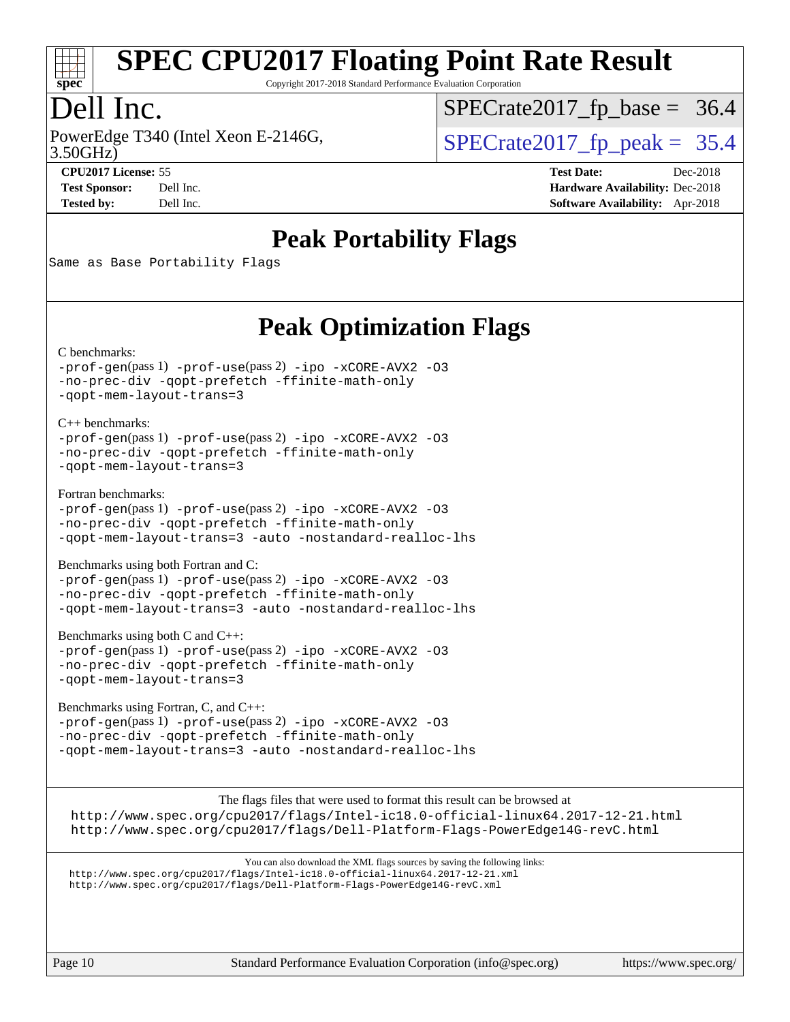

Copyright 2017-2018 Standard Performance Evaluation Corporation

### Dell Inc.

PowerEdge T340 (Intel Xeon E-2146G, 3.50GHz)

 $SPECTate 2017_fp\_peak = 35.4$  $SPECTate2017_fp\_base = 36.4$ 

**[Tested by:](http://www.spec.org/auto/cpu2017/Docs/result-fields.html#Testedby)** Dell Inc. **[Software Availability:](http://www.spec.org/auto/cpu2017/Docs/result-fields.html#SoftwareAvailability)** Apr-2018

**[CPU2017 License:](http://www.spec.org/auto/cpu2017/Docs/result-fields.html#CPU2017License)** 55 **[Test Date:](http://www.spec.org/auto/cpu2017/Docs/result-fields.html#TestDate)** Dec-2018 **[Test Sponsor:](http://www.spec.org/auto/cpu2017/Docs/result-fields.html#TestSponsor)** Dell Inc. **[Hardware Availability:](http://www.spec.org/auto/cpu2017/Docs/result-fields.html#HardwareAvailability)** Dec-2018

### **[Peak Portability Flags](http://www.spec.org/auto/cpu2017/Docs/result-fields.html#PeakPortabilityFlags)**

Same as Base Portability Flags

### **[Peak Optimization Flags](http://www.spec.org/auto/cpu2017/Docs/result-fields.html#PeakOptimizationFlags)**

[C benchmarks](http://www.spec.org/auto/cpu2017/Docs/result-fields.html#Cbenchmarks):

[-prof-gen](http://www.spec.org/cpu2017/results/res2018q4/cpu2017-20181210-10224.flags.html#user_CCpeak_prof_gen_5aa4926d6013ddb2a31985c654b3eb18169fc0c6952a63635c234f711e6e63dd76e94ad52365559451ec499a2cdb89e4dc58ba4c67ef54ca681ffbe1461d6b36)(pass 1) [-prof-use](http://www.spec.org/cpu2017/results/res2018q4/cpu2017-20181210-10224.flags.html#user_CCpeak_prof_use_1a21ceae95f36a2b53c25747139a6c16ca95bd9def2a207b4f0849963b97e94f5260e30a0c64f4bb623698870e679ca08317ef8150905d41bd88c6f78df73f19)(pass 2) [-ipo](http://www.spec.org/cpu2017/results/res2018q4/cpu2017-20181210-10224.flags.html#user_CCpeak_f-ipo) [-xCORE-AVX2](http://www.spec.org/cpu2017/results/res2018q4/cpu2017-20181210-10224.flags.html#user_CCpeak_f-xCORE-AVX2) [-O3](http://www.spec.org/cpu2017/results/res2018q4/cpu2017-20181210-10224.flags.html#user_CCpeak_f-O3) [-no-prec-div](http://www.spec.org/cpu2017/results/res2018q4/cpu2017-20181210-10224.flags.html#user_CCpeak_f-no-prec-div) [-qopt-prefetch](http://www.spec.org/cpu2017/results/res2018q4/cpu2017-20181210-10224.flags.html#user_CCpeak_f-qopt-prefetch) [-ffinite-math-only](http://www.spec.org/cpu2017/results/res2018q4/cpu2017-20181210-10224.flags.html#user_CCpeak_f_finite_math_only_cb91587bd2077682c4b38af759c288ed7c732db004271a9512da14a4f8007909a5f1427ecbf1a0fb78ff2a814402c6114ac565ca162485bbcae155b5e4258871) [-qopt-mem-layout-trans=3](http://www.spec.org/cpu2017/results/res2018q4/cpu2017-20181210-10224.flags.html#user_CCpeak_f-qopt-mem-layout-trans_de80db37974c74b1f0e20d883f0b675c88c3b01e9d123adea9b28688d64333345fb62bc4a798493513fdb68f60282f9a726aa07f478b2f7113531aecce732043)

[C++ benchmarks:](http://www.spec.org/auto/cpu2017/Docs/result-fields.html#CXXbenchmarks) [-prof-gen](http://www.spec.org/cpu2017/results/res2018q4/cpu2017-20181210-10224.flags.html#user_CXXpeak_prof_gen_5aa4926d6013ddb2a31985c654b3eb18169fc0c6952a63635c234f711e6e63dd76e94ad52365559451ec499a2cdb89e4dc58ba4c67ef54ca681ffbe1461d6b36)(pass 1) [-prof-use](http://www.spec.org/cpu2017/results/res2018q4/cpu2017-20181210-10224.flags.html#user_CXXpeak_prof_use_1a21ceae95f36a2b53c25747139a6c16ca95bd9def2a207b4f0849963b97e94f5260e30a0c64f4bb623698870e679ca08317ef8150905d41bd88c6f78df73f19)(pass 2) [-ipo](http://www.spec.org/cpu2017/results/res2018q4/cpu2017-20181210-10224.flags.html#user_CXXpeak_f-ipo) [-xCORE-AVX2](http://www.spec.org/cpu2017/results/res2018q4/cpu2017-20181210-10224.flags.html#user_CXXpeak_f-xCORE-AVX2) [-O3](http://www.spec.org/cpu2017/results/res2018q4/cpu2017-20181210-10224.flags.html#user_CXXpeak_f-O3) [-no-prec-div](http://www.spec.org/cpu2017/results/res2018q4/cpu2017-20181210-10224.flags.html#user_CXXpeak_f-no-prec-div) [-qopt-prefetch](http://www.spec.org/cpu2017/results/res2018q4/cpu2017-20181210-10224.flags.html#user_CXXpeak_f-qopt-prefetch) [-ffinite-math-only](http://www.spec.org/cpu2017/results/res2018q4/cpu2017-20181210-10224.flags.html#user_CXXpeak_f_finite_math_only_cb91587bd2077682c4b38af759c288ed7c732db004271a9512da14a4f8007909a5f1427ecbf1a0fb78ff2a814402c6114ac565ca162485bbcae155b5e4258871) [-qopt-mem-layout-trans=3](http://www.spec.org/cpu2017/results/res2018q4/cpu2017-20181210-10224.flags.html#user_CXXpeak_f-qopt-mem-layout-trans_de80db37974c74b1f0e20d883f0b675c88c3b01e9d123adea9b28688d64333345fb62bc4a798493513fdb68f60282f9a726aa07f478b2f7113531aecce732043)

[Fortran benchmarks](http://www.spec.org/auto/cpu2017/Docs/result-fields.html#Fortranbenchmarks):

[-prof-gen](http://www.spec.org/cpu2017/results/res2018q4/cpu2017-20181210-10224.flags.html#user_FCpeak_prof_gen_5aa4926d6013ddb2a31985c654b3eb18169fc0c6952a63635c234f711e6e63dd76e94ad52365559451ec499a2cdb89e4dc58ba4c67ef54ca681ffbe1461d6b36)(pass 1) [-prof-use](http://www.spec.org/cpu2017/results/res2018q4/cpu2017-20181210-10224.flags.html#user_FCpeak_prof_use_1a21ceae95f36a2b53c25747139a6c16ca95bd9def2a207b4f0849963b97e94f5260e30a0c64f4bb623698870e679ca08317ef8150905d41bd88c6f78df73f19)(pass 2) [-ipo](http://www.spec.org/cpu2017/results/res2018q4/cpu2017-20181210-10224.flags.html#user_FCpeak_f-ipo) [-xCORE-AVX2](http://www.spec.org/cpu2017/results/res2018q4/cpu2017-20181210-10224.flags.html#user_FCpeak_f-xCORE-AVX2) [-O3](http://www.spec.org/cpu2017/results/res2018q4/cpu2017-20181210-10224.flags.html#user_FCpeak_f-O3) [-no-prec-div](http://www.spec.org/cpu2017/results/res2018q4/cpu2017-20181210-10224.flags.html#user_FCpeak_f-no-prec-div) [-qopt-prefetch](http://www.spec.org/cpu2017/results/res2018q4/cpu2017-20181210-10224.flags.html#user_FCpeak_f-qopt-prefetch) [-ffinite-math-only](http://www.spec.org/cpu2017/results/res2018q4/cpu2017-20181210-10224.flags.html#user_FCpeak_f_finite_math_only_cb91587bd2077682c4b38af759c288ed7c732db004271a9512da14a4f8007909a5f1427ecbf1a0fb78ff2a814402c6114ac565ca162485bbcae155b5e4258871) [-qopt-mem-layout-trans=3](http://www.spec.org/cpu2017/results/res2018q4/cpu2017-20181210-10224.flags.html#user_FCpeak_f-qopt-mem-layout-trans_de80db37974c74b1f0e20d883f0b675c88c3b01e9d123adea9b28688d64333345fb62bc4a798493513fdb68f60282f9a726aa07f478b2f7113531aecce732043) [-auto](http://www.spec.org/cpu2017/results/res2018q4/cpu2017-20181210-10224.flags.html#user_FCpeak_f-auto) [-nostandard-realloc-lhs](http://www.spec.org/cpu2017/results/res2018q4/cpu2017-20181210-10224.flags.html#user_FCpeak_f_2003_std_realloc_82b4557e90729c0f113870c07e44d33d6f5a304b4f63d4c15d2d0f1fab99f5daaed73bdb9275d9ae411527f28b936061aa8b9c8f2d63842963b95c9dd6426b8a)

[Benchmarks using both Fortran and C](http://www.spec.org/auto/cpu2017/Docs/result-fields.html#BenchmarksusingbothFortranandC):

[-prof-gen](http://www.spec.org/cpu2017/results/res2018q4/cpu2017-20181210-10224.flags.html#user_CC_FCpeak_prof_gen_5aa4926d6013ddb2a31985c654b3eb18169fc0c6952a63635c234f711e6e63dd76e94ad52365559451ec499a2cdb89e4dc58ba4c67ef54ca681ffbe1461d6b36)(pass 1) [-prof-use](http://www.spec.org/cpu2017/results/res2018q4/cpu2017-20181210-10224.flags.html#user_CC_FCpeak_prof_use_1a21ceae95f36a2b53c25747139a6c16ca95bd9def2a207b4f0849963b97e94f5260e30a0c64f4bb623698870e679ca08317ef8150905d41bd88c6f78df73f19)(pass 2) [-ipo](http://www.spec.org/cpu2017/results/res2018q4/cpu2017-20181210-10224.flags.html#user_CC_FCpeak_f-ipo) [-xCORE-AVX2](http://www.spec.org/cpu2017/results/res2018q4/cpu2017-20181210-10224.flags.html#user_CC_FCpeak_f-xCORE-AVX2) [-O3](http://www.spec.org/cpu2017/results/res2018q4/cpu2017-20181210-10224.flags.html#user_CC_FCpeak_f-O3) [-no-prec-div](http://www.spec.org/cpu2017/results/res2018q4/cpu2017-20181210-10224.flags.html#user_CC_FCpeak_f-no-prec-div) [-qopt-prefetch](http://www.spec.org/cpu2017/results/res2018q4/cpu2017-20181210-10224.flags.html#user_CC_FCpeak_f-qopt-prefetch) [-ffinite-math-only](http://www.spec.org/cpu2017/results/res2018q4/cpu2017-20181210-10224.flags.html#user_CC_FCpeak_f_finite_math_only_cb91587bd2077682c4b38af759c288ed7c732db004271a9512da14a4f8007909a5f1427ecbf1a0fb78ff2a814402c6114ac565ca162485bbcae155b5e4258871) [-qopt-mem-layout-trans=3](http://www.spec.org/cpu2017/results/res2018q4/cpu2017-20181210-10224.flags.html#user_CC_FCpeak_f-qopt-mem-layout-trans_de80db37974c74b1f0e20d883f0b675c88c3b01e9d123adea9b28688d64333345fb62bc4a798493513fdb68f60282f9a726aa07f478b2f7113531aecce732043) [-auto](http://www.spec.org/cpu2017/results/res2018q4/cpu2017-20181210-10224.flags.html#user_CC_FCpeak_f-auto) [-nostandard-realloc-lhs](http://www.spec.org/cpu2017/results/res2018q4/cpu2017-20181210-10224.flags.html#user_CC_FCpeak_f_2003_std_realloc_82b4557e90729c0f113870c07e44d33d6f5a304b4f63d4c15d2d0f1fab99f5daaed73bdb9275d9ae411527f28b936061aa8b9c8f2d63842963b95c9dd6426b8a)

[Benchmarks using both C and C++](http://www.spec.org/auto/cpu2017/Docs/result-fields.html#BenchmarksusingbothCandCXX): [-prof-gen](http://www.spec.org/cpu2017/results/res2018q4/cpu2017-20181210-10224.flags.html#user_CC_CXXpeak_prof_gen_5aa4926d6013ddb2a31985c654b3eb18169fc0c6952a63635c234f711e6e63dd76e94ad52365559451ec499a2cdb89e4dc58ba4c67ef54ca681ffbe1461d6b36)(pass 1) [-prof-use](http://www.spec.org/cpu2017/results/res2018q4/cpu2017-20181210-10224.flags.html#user_CC_CXXpeak_prof_use_1a21ceae95f36a2b53c25747139a6c16ca95bd9def2a207b4f0849963b97e94f5260e30a0c64f4bb623698870e679ca08317ef8150905d41bd88c6f78df73f19)(pass 2) [-ipo](http://www.spec.org/cpu2017/results/res2018q4/cpu2017-20181210-10224.flags.html#user_CC_CXXpeak_f-ipo) [-xCORE-AVX2](http://www.spec.org/cpu2017/results/res2018q4/cpu2017-20181210-10224.flags.html#user_CC_CXXpeak_f-xCORE-AVX2) [-O3](http://www.spec.org/cpu2017/results/res2018q4/cpu2017-20181210-10224.flags.html#user_CC_CXXpeak_f-O3) [-no-prec-div](http://www.spec.org/cpu2017/results/res2018q4/cpu2017-20181210-10224.flags.html#user_CC_CXXpeak_f-no-prec-div) [-qopt-prefetch](http://www.spec.org/cpu2017/results/res2018q4/cpu2017-20181210-10224.flags.html#user_CC_CXXpeak_f-qopt-prefetch) [-ffinite-math-only](http://www.spec.org/cpu2017/results/res2018q4/cpu2017-20181210-10224.flags.html#user_CC_CXXpeak_f_finite_math_only_cb91587bd2077682c4b38af759c288ed7c732db004271a9512da14a4f8007909a5f1427ecbf1a0fb78ff2a814402c6114ac565ca162485bbcae155b5e4258871) [-qopt-mem-layout-trans=3](http://www.spec.org/cpu2017/results/res2018q4/cpu2017-20181210-10224.flags.html#user_CC_CXXpeak_f-qopt-mem-layout-trans_de80db37974c74b1f0e20d883f0b675c88c3b01e9d123adea9b28688d64333345fb62bc4a798493513fdb68f60282f9a726aa07f478b2f7113531aecce732043)

[Benchmarks using Fortran, C, and C++:](http://www.spec.org/auto/cpu2017/Docs/result-fields.html#BenchmarksusingFortranCandCXX) [-prof-gen](http://www.spec.org/cpu2017/results/res2018q4/cpu2017-20181210-10224.flags.html#user_CC_CXX_FCpeak_prof_gen_5aa4926d6013ddb2a31985c654b3eb18169fc0c6952a63635c234f711e6e63dd76e94ad52365559451ec499a2cdb89e4dc58ba4c67ef54ca681ffbe1461d6b36)(pass 1) [-prof-use](http://www.spec.org/cpu2017/results/res2018q4/cpu2017-20181210-10224.flags.html#user_CC_CXX_FCpeak_prof_use_1a21ceae95f36a2b53c25747139a6c16ca95bd9def2a207b4f0849963b97e94f5260e30a0c64f4bb623698870e679ca08317ef8150905d41bd88c6f78df73f19)(pass 2) [-ipo](http://www.spec.org/cpu2017/results/res2018q4/cpu2017-20181210-10224.flags.html#user_CC_CXX_FCpeak_f-ipo) [-xCORE-AVX2](http://www.spec.org/cpu2017/results/res2018q4/cpu2017-20181210-10224.flags.html#user_CC_CXX_FCpeak_f-xCORE-AVX2) [-O3](http://www.spec.org/cpu2017/results/res2018q4/cpu2017-20181210-10224.flags.html#user_CC_CXX_FCpeak_f-O3) [-no-prec-div](http://www.spec.org/cpu2017/results/res2018q4/cpu2017-20181210-10224.flags.html#user_CC_CXX_FCpeak_f-no-prec-div) [-qopt-prefetch](http://www.spec.org/cpu2017/results/res2018q4/cpu2017-20181210-10224.flags.html#user_CC_CXX_FCpeak_f-qopt-prefetch) [-ffinite-math-only](http://www.spec.org/cpu2017/results/res2018q4/cpu2017-20181210-10224.flags.html#user_CC_CXX_FCpeak_f_finite_math_only_cb91587bd2077682c4b38af759c288ed7c732db004271a9512da14a4f8007909a5f1427ecbf1a0fb78ff2a814402c6114ac565ca162485bbcae155b5e4258871) [-qopt-mem-layout-trans=3](http://www.spec.org/cpu2017/results/res2018q4/cpu2017-20181210-10224.flags.html#user_CC_CXX_FCpeak_f-qopt-mem-layout-trans_de80db37974c74b1f0e20d883f0b675c88c3b01e9d123adea9b28688d64333345fb62bc4a798493513fdb68f60282f9a726aa07f478b2f7113531aecce732043) [-auto](http://www.spec.org/cpu2017/results/res2018q4/cpu2017-20181210-10224.flags.html#user_CC_CXX_FCpeak_f-auto) [-nostandard-realloc-lhs](http://www.spec.org/cpu2017/results/res2018q4/cpu2017-20181210-10224.flags.html#user_CC_CXX_FCpeak_f_2003_std_realloc_82b4557e90729c0f113870c07e44d33d6f5a304b4f63d4c15d2d0f1fab99f5daaed73bdb9275d9ae411527f28b936061aa8b9c8f2d63842963b95c9dd6426b8a)

The flags files that were used to format this result can be browsed at <http://www.spec.org/cpu2017/flags/Intel-ic18.0-official-linux64.2017-12-21.html> <http://www.spec.org/cpu2017/flags/Dell-Platform-Flags-PowerEdge14G-revC.html>

You can also download the XML flags sources by saving the following links: <http://www.spec.org/cpu2017/flags/Intel-ic18.0-official-linux64.2017-12-21.xml> <http://www.spec.org/cpu2017/flags/Dell-Platform-Flags-PowerEdge14G-revC.xml>